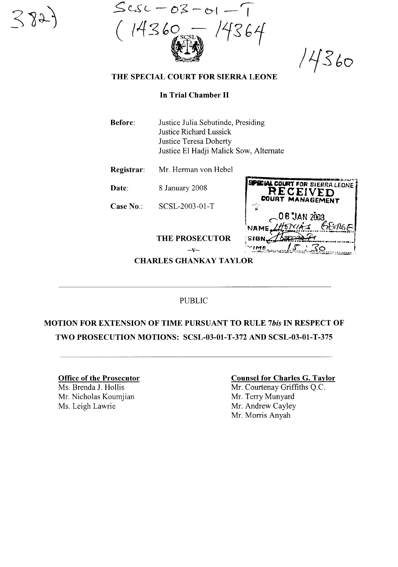$Scsc - 03 - 01$  $14360$ 

14360

# **THE SPECIAL COURT FOR SIERRA LEONE**

### **In Trial Chamber II**

- **Before:** Justice Julia Sebutinde, Presiding Justice Richard Lussick Justice Teresa Doherty Justice El Hadji Malick Sow, Alternate
- **Registrar:** Mr. Hennan von Hebel

**Date:** 8 January 2008

**Case** No.: SCSL-2003-01-T

**EVECIAL COURT FOR SIERRA LEONE RECEIVED MANAGEMENT** 08 JAN 2003 SIGN. **TIME** 

 $-\mathbf{V}$ **CHARLES GHANKAY TAYLOR** 

**THE PROSECUTOR** 

# PUBLIC

# **MOTION FOR EXTENSION OF TIME PURSUANT TO RULE** *7bis* **IN RESPECT OF TWO PROSECUTION MOTIONS: SCSL-03-01-T-372 AND SCSL-03-01-T-375**

**Office of the Prosecutor** Ms. Brenda J. Hollis Mr. Nicholas Koumjian Ms. Leigh Lawrie

#### **Counsel for Charles G. Taylor**

Mr. Courtenay Griffiths Q.c. Mr. Terry Munyard Mr. Andrew Cayley Mr. Morris Anyah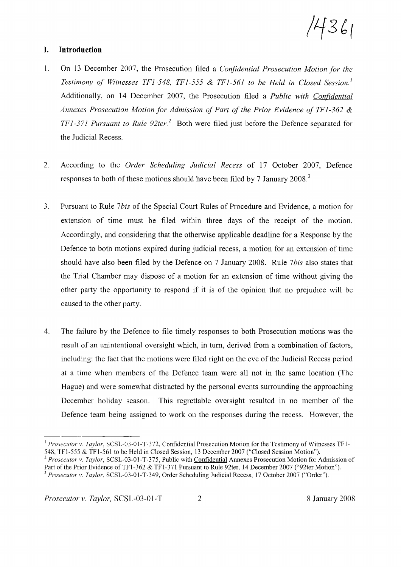14361

# **I. Introduction**

- 1. On 13 December 2007, the Prosecution filed a *Confidential Prosecution Motion for the Testimony of Witnesses TFJ-548, TFJ-555* & *TFJ-56J to be Held in Closed Session.!* Additionally, on 14 December 2007, the Prosecution filed a *Public with Confidential Annexes Prosecution Motion for Admission of Part of the Prior Evidence of TFJ*-362 & *TFJ*-37*J Pursuant to Rule 92ter.* <sup>2</sup> Both were filed just before the Defence separated for the Judicial Recess.
- 2. According to the *Order Scheduling Judicial Recess* of 17 October 2007, Defence responses to both of these motions should have been filed by 7 January 2008.<sup>3</sup>
- 3. Pursuant to Rule 7*bis* of the Special Court Rules of Procedure and Evidence, a motion for extension of time must be filed within three days of the receipt of the motion. Accordingly, and considering that the otherwise applicable deadline for a Response by the Defence to both motions expired during judicial recess, a motion for an extension of time should have also been filed by the Defence on 7 January 2008. Rule 7bis also states that the Trial Chamber may dispose of a motion for an extension of time without giving the other party the opportunity to respond if it is of the opinion that no prejudice will be caused to the other party.
- 4. The failure by the Defence to file timely responses to both Prosecution motions was the result of an unintentional oversight which, in tum, derived from a combination of factors, including: the fact that the motions were filed right on the eve of the Judicial Recess period at a time when members of the Defence team were all not in the same location (The Hague) and were somewhat distracted by the personal events surrounding the approaching December holiday season. This regrettable oversight resulted in no member of the Defence team being assigned to work on the responses during the recess. However, the

<sup>&</sup>lt;sup>1</sup> Prosecutor v. Taylor, SCSL-03-01-T-372, Confidential Prosecution Motion for the Testimony of Witnesses TF1-548, TFI-555 & TFI-561 to be Held in Closed Session, 13 December 2007 ("Closed Session Motion").

*<sup>2</sup> Prosecutor v. Taylor,* SCSL-03-01-T-375, Public with Confidential Annexes Prosecution Motion for Admission of Part of the Prior Evidence of TF1-362 & TF1-371 Pursuant to Rule 92ter, 14 December 2007 ("92ter Motion").

*<sup>3</sup> Prosecutor v. Taylor,* SCSL-03-01-T-349, Order Scheduling Judicial Recess, 17 October 2007 ("Order").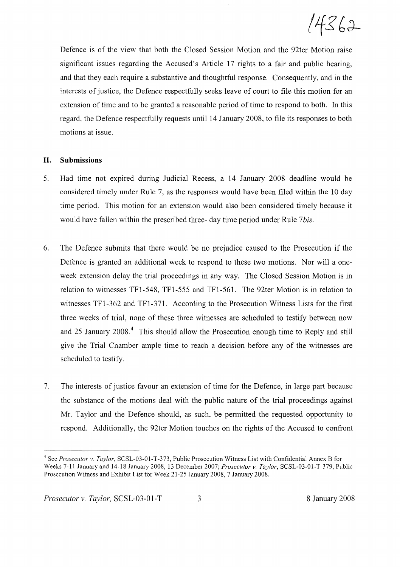$14362$ 

Defence is of the view that both the Closed Session Motion and the 92ter Motion raise significant issues regarding the Accused's Article 17 rights to a fair and public hearing, and that they each require a substantive and thoughtful response. Consequently, and in the interests of justice, the Defence respectfully seeks leave of court to file this motion for an extension of time and to be granted a reasonable period of time to respond to both. In this regard, the Defence respectfully requests until **14** January 2008, to file its responses to both motions at issue.

#### **II. Submissions**

- 5. Had time not expired during Judicial Recess, a **14** January 2008 deadline would be considered timely under Rule 7, as the responses would have been filed within the 10 day time period. This motion for an extension would also been considered timely because it would have fallen within the prescribed three- day time period under Rule 7*bis.*
- 6. The Defence submits that there would be no prejudice caused to the Prosecution if the Defence is granted an additional week to respond to these two motions. Nor will a oneweek extension delay the trial proceedings in any way. The Closed Session Motion is in relation to witnesses TFI-548, TFI-555 and TFI-561. The 92ter Motion is in relation to witnesses TFI-362 and TFI-371. According to the Prosecution Witness Lists for the first three weeks of trial, none of these three witnesses are scheduled to testify between now and 25 January 2008.<sup>4</sup> This should allow the Prosecution enough time to Reply and still give the Trial Chamber ample time to reach a decision before any of the witnesses are scheduled to testify.
- 7. The interests of justice favour an extension of time for the Defence, in large part because the substance of the motions deal with the public nature of the trial proceedings against Mr. Taylor and the Defence should, as such, be permitted the requested opportunity to respond. Additionally, the 92ter Motion touches on the rights of the Accused to confront

<sup>4</sup> See *Prosecutor* v. *Taylor,* SCSL-03-01-T-373, Public Prosecution Witness List with Confidential Annex B for Weeks 7-11 January and 14-18 January 2008, 13 December 2007; *Prosecutor* v. *Taylor,* SCSL-03-0l-T-379, Public Prosecution Witness and Exhibit List for Week 21-25 January 2008, 7 January 2008.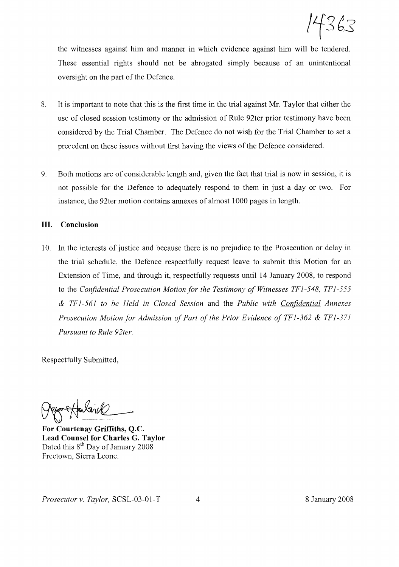$14363$ 

the witnesses against him and manner in which evidence against him will be tendered. These essential rights should not be abrogated simply because of an unintentional oversight on the part of the Defence.

- 8. It is important to note that this is the first time in the trial against Mr. Taylor that either the use of closed session testimony or the admission of Rule 92ter prior testimony have been considered by the Trial Chamber. The Defence do not wish for the Trial Chamber to set a precedent on these issues without first having the views of the Defence considered.
- 9. Both motions are of considerable length and, given the fact that trial is now in session, it is not possible for the Defence to adequately respond to them in just a day or two. For instance, the 92ter motion contains annexes of almost 1000 pages in length.

### **III. Conclusion**

10. In the interests of justice and because there is no prejudice to the Prosecution or delay in the trial schedule, the Defence respectfully request leave to submit this Motion for an Extension of Time, and through it, respectfully requests until 14 January 2008, to respond to the *Confidential Prosecution Motion for the Testimony o.fWitnesses TF1-548, TF1-555* & *TF1-561 to be Held in Closed Session* and the *Public with Confidential Annexes Prosecution Motion for Admission of Part of the Prior Evidence of TF1-362 & TF1-371 Pursuant to Rule 92ter.*

Respectfully Submitted,

Fansvik

**For Courtenay Griffiths, Q.c. Lead Counsel for Charles G. Taylor** Dated this 8<sup>th</sup> Day of January 2008 Freetown, Sierra Leone.